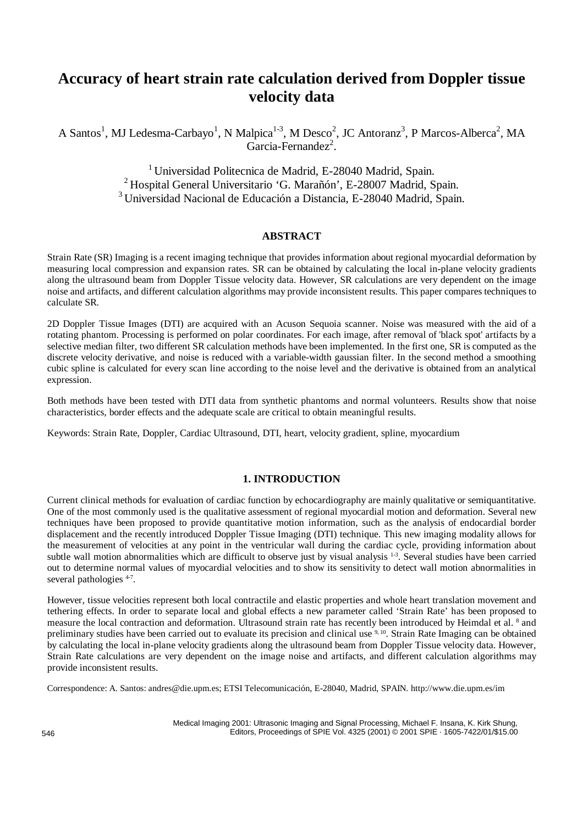# **Accuracy of heart strain rate calculation derived from Doppler tissue velocity data**

A Santos<sup>1</sup>, MJ Ledesma-Carbayo<sup>1</sup>, N Malpica<sup>1-3</sup>, M Desco<sup>2</sup>, JC Antoranz<sup>3</sup>, P Marcos-Alberca<sup>2</sup>, MA Garcia-Fernandez<sup>2</sup>.

> <sup>1</sup> Universidad Politecnica de Madrid, E-28040 Madrid, Spain. <sup>2</sup> Hospital General Universitario 'G. Marañón', E-28007 Madrid, Spain. <sup>3</sup> Universidad Nacional de Educación a Distancia, E-28040 Madrid, Spain.

## **ABSTRACT**

Strain Rate (SR) Imaging is a recent imaging technique that provides information about regional myocardial deformation by measuring local compression and expansion rates. SR can be obtained by calculating the local in-plane velocity gradients along the ultrasound beam from Doppler Tissue velocity data. However, SR calculations are very dependent on the image noise and artifacts, and different calculation algorithms may provide inconsistent results. This paper compares techniques to calculate SR.

2D Doppler Tissue Images (DTI) are acquired with an Acuson Sequoia scanner. Noise was measured with the aid of a rotating phantom. Processing is performed on polar coordinates. For each image, after removal of 'black spot' artifacts by a selective median filter, two different SR calculation methods have been implemented. In the first one, SR is computed as the discrete velocity derivative, and noise is reduced with a variable-width gaussian filter. In the second method a smoothing cubic spline is calculated for every scan line according to the noise level and the derivative is obtained from an analytical expression.

Both methods have been tested with DTI data from synthetic phantoms and normal volunteers. Results show that noise characteristics, border effects and the adequate scale are critical to obtain meaningful results.

Keywords: Strain Rate, Doppler, Cardiac Ultrasound, DTI, heart, velocity gradient, spline, myocardium

## **1. INTRODUCTION**

Current clinical methods for evaluation of cardiac function by echocardiography are mainly qualitative or semiquantitative. One of the most commonly used is the qualitative assessment of regional myocardial motion and deformation. Several new techniques have been proposed to provide quantitative motion information, such as the analysis of endocardial border displacement and the recently introduced Doppler Tissue Imaging (DTI) technique. This new imaging modality allows for the measurement of velocities at any point in the ventricular wall during the cardiac cycle, providing information about subtle wall motion abnormalities which are difficult to observe just by visual analysis <sup>1-3</sup>. Several studies have been carried out to determine normal values of myocardial velocities and to show its sensitivity to detect wall motion abnormalities in several pathologies  $4-7$ .

However, tissue velocities represent both local contractile and elastic properties and whole heart translation movement and tethering effects. In order to separate local and global effects a new parameter called 'Strain Rate' has been proposed to measure the local contraction and deformation. Ultrasound strain rate has recently been introduced by Heimdal et al. <sup>8</sup> and preliminary studies have been carried out to evaluate its precision and clinical use 9, 10. Strain Rate Imaging can be obtained by calculating the local in-plane velocity gradients along the ultrasound beam from Doppler Tissue velocity data. However, Strain Rate calculations are very dependent on the image noise and artifacts, and different calculation algorithms may provide inconsistent results.

Correspondence: A. Santos: andres@die.upm.es; ETSI Telecomunicación, E-28040, Madrid, SPAIN. http://www.die.upm.es/im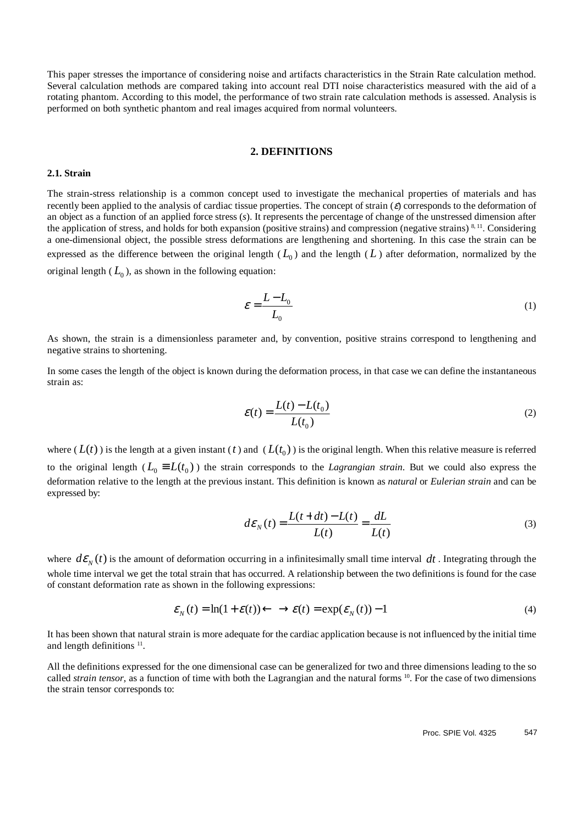This paper stresses the importance of considering noise and artifacts characteristics in the Strain Rate calculation method. Several calculation methods are compared taking into account real DTI noise characteristics measured with the aid of a rotating phantom. According to this model, the performance of two strain rate calculation methods is assessed. Analysis is performed on both synthetic phantom and real images acquired from normal volunteers.

#### **2. DEFINITIONS**

#### **2.1. Strain**

The strain-stress relationship is a common concept used to investigate the mechanical properties of materials and has recently been applied to the analysis of cardiac tissue properties. The concept of strain  $(\varepsilon)$  corresponds to the deformation of an object as a function of an applied force stress (*s*). It represents the percentage of change of the unstressed dimension after the application of stress, and holds for both expansion (positive strains) and compression (negative strains) 8, 11. Considering a one-dimensional object, the possible stress deformations are lengthening and shortening. In this case the strain can be expressed as the difference between the original length  $(L_0)$  and the length  $(L)$  after deformation, normalized by the

original length  $(L_0)$ , as shown in the following equation:

$$
\mathcal{E} = \frac{L - L_0}{L_0} \tag{1}
$$

As shown, the strain is a dimensionless parameter and, by convention, positive strains correspond to lengthening and negative strains to shortening.

In some cases the length of the object is known during the deformation process, in that case we can define the instantaneous strain as:

$$
\mathcal{E}(t) = \frac{L(t) - L(t_0)}{L(t_0)}
$$
\n<sup>(2)</sup>

where  $(L(t))$  is the length at a given instant (*t*) and  $(L(t_0))$  is the original length. When this relative measure is referred to the original length ( $L_0 \equiv L(t_0)$ ) the strain corresponds to the *Lagrangian strain*. But we could also express the deformation relative to the length at the previous instant. This definition is known as *natural* or *Eulerian strain* and can be expressed by:

$$
d\varepsilon_N(t) = \frac{L(t+dt) - L(t)}{L(t)} = \frac{dL}{L(t)}
$$
\n(3)

where  $d\mathcal{E}_N(t)$  is the amount of deformation occurring in a infinitesimally small time interval  $dt$ . Integrating through the whole time interval we get the total strain that has occurred. A relationship between the two definitions is found for the case of constant deformation rate as shown in the following expressions:

$$
\varepsilon_N(t) = \ln(1 + \varepsilon(t)) \longleftrightarrow \varepsilon(t) = \exp(\varepsilon_N(t)) - 1 \tag{4}
$$

It has been shown that natural strain is more adequate for the cardiac application because is not influenced by the initial time and length definitions 11.

All the definitions expressed for the one dimensional case can be generalized for two and three dimensions leading to the so called *strain tensor*, as a function of time with both the Lagrangian and the natural forms 10. For the case of two dimensions the strain tensor corresponds to: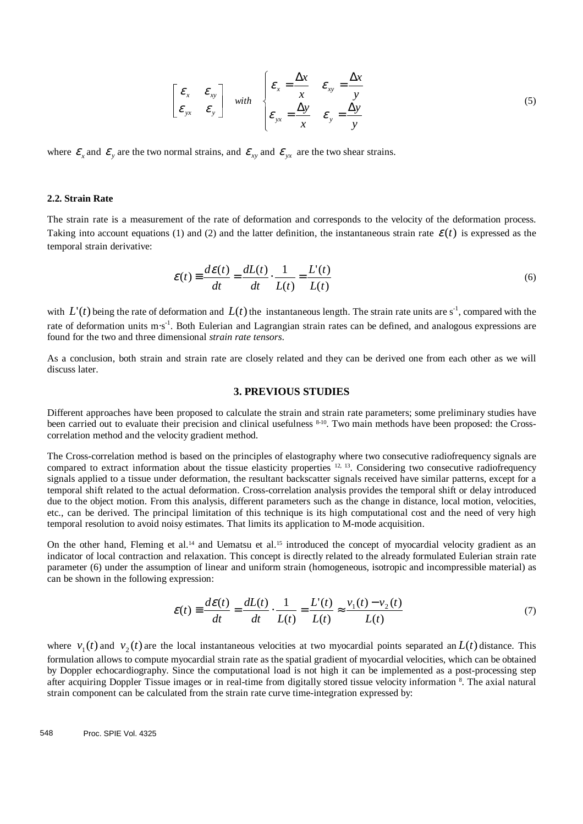$$
\begin{bmatrix} \varepsilon_x & \varepsilon_{xy} \\ \varepsilon_{yx} & \varepsilon_y \end{bmatrix} \text{ with } \begin{cases} \varepsilon_x = \frac{\Delta x}{x} & \varepsilon_{xy} = \frac{\Delta x}{y} \\ \varepsilon_{yx} = \frac{\Delta y}{x} & \varepsilon_y = \frac{\Delta y}{y} \end{cases}
$$
 (5)

where  $\mathcal{E}_x$  and  $\mathcal{E}_y$  are the two normal strains, and  $\mathcal{E}_{xy}$  and  $\mathcal{E}_{yx}$  are the two shear strains.

#### **2.2. Strain Rate**

The strain rate is a measurement of the rate of deformation and corresponds to the velocity of the deformation process. Taking into account equations (1) and (2) and the latter definition, the instantaneous strain rate  $\mathcal{E}(t)$  is expressed as the temporal strain derivative:<br>  $\mathcal{E}(t) = \frac{d\mathcal{E}(t)}{dt} = \frac{dL(t)}{dt} \cdot \frac{1}{L(t)} = \frac{L'(t)}{L(t)}$  (6 temporal strain derivative:

$$
\mathcal{E}(t) \equiv \frac{d\mathcal{E}(t)}{dt} = \frac{dL(t)}{dt} \cdot \frac{1}{L(t)} = \frac{L'(t)}{L(t)}
$$
(6)

 $\mathcal{E}(t) = \frac{\mathcal{E}(t)}{dt} = \frac{\mathcal{E}(t)}{dt} \cdot \frac{t}{L(t)} = \frac{\mathcal{E}(t)}{L(t)}$  (6)<br>
rmation and  $L(t)$  the instantaneous length. The strain rate units are s<sup>-1</sup>, compared with the<br>
Both Eulerian and Lagrangian strain rates can be defined with  $L'(t)$  being the rate of deformation and  $L(t)$  the instantaneous length. The strain rate units are s<sup>-1</sup>, compared with the rate of deformation units m⋅s<sup>-1</sup>. Both Eulerian and Lagrangian strain rates can be defined, and analogous expressions are found for the two and three dimensional *strain rate tensors*.

As a conclusion, both strain and strain rate are closely related and they can be derived one from each other as we will discuss later.

#### **3. PREVIOUS STUDIES**

Different approaches have been proposed to calculate the strain and strain rate parameters; some preliminary studies have been carried out to evaluate their precision and clinical usefulness <sup>8-10</sup>. Two main methods have been proposed: the Crosscorrelation method and the velocity gradient method.

The Cross-correlation method is based on the principles of elastography where two consecutive radiofrequency signals are compared to extract information about the tissue elasticity properties <sup>12, 13</sup>. Considering two consecutive radiofrequency signals applied to a tissue under deformation, the resultant backscatter signals received have similar patterns, except for a temporal shift related to the actual deformation. Cross-correlation analysis provides the temporal shift or delay introduced due to the object motion. From this analysis, different parameters such as the change in distance, local motion, velocities, etc., can be derived. The principal limitation of this technique is its high computational cost and the need of very high temporal resolution to avoid noisy estimates. That limits its application to M-mode acquisition.

On the other hand, Fleming et al.<sup>14</sup> and Uematsu et al.<sup>15</sup> introduced the concept of myocardial velocity gradient as an indicator of local contraction and relaxation. This concept is directly related to the already formulated Eulerian strain rate parameter (6) under the assumption of linear and uniform strain (homogeneous, isotropic and incompressible material) as can be shown in the following expression:

$$
\mathcal{E}(t) \equiv \frac{d\mathcal{E}(t)}{dt} = \frac{dL(t)}{dt} \cdot \frac{1}{L(t)} = \frac{L'(t)}{L(t)} \approx \frac{v_1(t) - v_2(t)}{L(t)}
$$
(7)

 $\mathcal{E}(t) = \frac{d\mathcal{E}(t)}{dt} = \frac{d\mathcal{E}(t)}{dt} \cdot \frac{d\mathcal{E}(t)}{dt} = \frac{d\mathcal{E}(t)}{dt} \approx \frac{d\mathcal{E}(t)}{dt}$  (7)<br>where  $v_1(t)$  and  $v_2(t)$  are the local instantaneous velocities at two myocardial points separated an  $L(t)$  distance. This<br> where  $v_1(t)$  and  $v_2(t)$  are the local instantaneous velocities at two myocardial points separated an  $L(t)$  distance. This formulation allows to compute myocardial strain rate as the spatial gradient of myocardial velocities, which can be obtained by Doppler echocardiography. Since the computational load is not high it can be implemented as a post-processing step strain component can be calculated from the strain rate curve time-integration expressed by: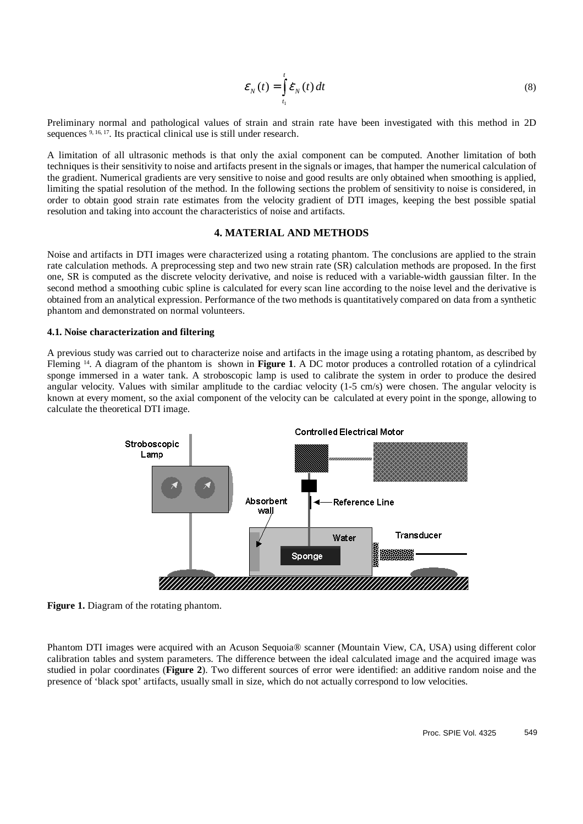$$
\mathcal{E}_N(t) = \int_{t_1}^t \dot{\mathcal{E}}_N(t) dt
$$
\n(8)

 $\mathcal{E}_N(t) = \int_{t_1}^{\infty} \dot{\mathcal{E}}_N(t) dt$  (8)<br>
Preliminary normal and pathological values of strain and strain rate have been investigated with this method in 2D<br>
sequences<sup>9, 16, 17</sup>. Its practical clinical use is still unde Preliminary normal and pathological values of strain and strain rate have been investigated with this method in 2D sequences <sup>9, 16, 17</sup>. Its practical clinical use is still under research.

techniques is their sensitivity to noise and artifacts present in the signals or images, that hamper the numerical calculation of the gradient. Numerical gradients are very sensitive to noise and good results are only obtained when smoothing is applied, limiting the spatial resolution of the method. In the following sections the problem of sensitivity to noise is considered, in order to obtain good strain rate estimates from the velocity gradient of DTI images, keeping the best possible spatial resolution and taking into account the characteristics of noise and artifacts.

#### **4. MATERIAL AND METHODS**

Noise and artifacts in DTI images were characterized using a rotating phantom. The conclusions are applied to the strain rate calculation methods. A preprocessing step and two new strain rate (SR) calculation methods are proposed. In the first one, SR is computed as the discrete velocity derivative, and noise is reduced with a variable-width gaussian filter. In the second method a smoothing cubic spline is calculated for every scan line according to the noise level and the derivative is obtained from an analytical expression. Performance of the two methods is quantitatively compared on data from a synthetic phantom and demonstrated on normal volunteers.

#### **4.1. Noise characterization and filtering**

A previous study was carried out to characterize noise and artifacts in the image using a rotating phantom, as described by Fleming 14. A diagram of the phantom is shown in **Figure 1**. A DC motor produces a controlled rotation of a cylindrical sponge immersed in a water tank. A stroboscopic lamp is used to calibrate the system in order to produce the desired angular velocity. Values with similar amplitude to the cardiac velocity (1-5 cm/s) were chosen. The angular velocity is known at every moment, so the axial component of the velocity can be calculated at every point in the sponge, allowing to calculate the theoretical DTI image.



**Figure 1.** Diagram of the rotating phantom.

Phantom DTI images were acquired with an Acuson Sequoia® scanner (Mountain View, CA, USA) using different color calibration tables and system parameters. The difference between the ideal calculated image and the acquired image was studied in polar coordinates (**Figure 2**). Two different sources of error were identified: an additive random noise and the presence of 'black spot' artifacts, usually small in size, which do not actually correspond to low velocities.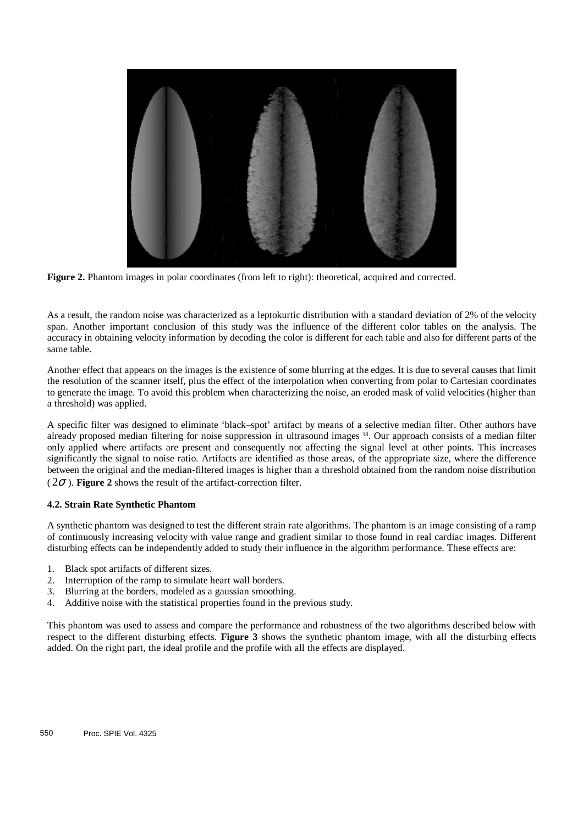



As a result, the random noise was characterized as a leptokurtic distribution with a standard deviation of 2% of the velocity span. Another important conclusion of this study was the influence of the different color tables on the analysis. The accuracy in obtaining velocity information by decoding the color is different for each table and also for different parts of the same table.

Another effect that appears on the images is the existence of some blurring at the edges. It is due to several causes that limit the resolution of the scanner itself, plus the effect of the interpolation when converting from polar to Cartesian coordinates to generate the image. To avoid this problem when characterizing the noise, an eroded mask of valid velocities (higher than a threshold) was applied.

A specific filter was designed to eliminate 'black–spot' artifact by means of a selective median filter. Other authors have already proposed median filtering for noise suppression in ultrasound images 18. Our approach consists of a median filter only applied where artifacts are present and consequently not affecting the signal level at other points. This increases significantly the signal to noise ratio. Artifacts are identified as those areas, of the appropriate size, where the difference between the original and the median-filtered images is higher than a threshold obtained from the random noise distribution  $(2\sigma)$ . **Figure 2** shows the result of the artifact-correction filter.

## **4.2. Strain Rate Synthetic Phantom**

A synthetic phantom was designed to test the different strain rate algorithms. The phantom is an image consisting of a ramp of continuously increasing velocity with value range and gradient similar to those found in real cardiac images. Different disturbing effects can be independently added to study their influence in the algorithm performance. These effects are:

- 1. Black spot artifacts of different sizes.
- 2. Interruption of the ramp to simulate heart wall borders.
- 3. Blurring at the borders, modeled as a gaussian smoothing.
- 4. Additive noise with the statistical properties found in the previous study.

This phantom was used to assess and compare the performance and robustness of the two algorithms described below with respect to the different disturbing effects. **Figure 3** shows the synthetic phantom image, with all the disturbing effects added. On the right part, the ideal profile and the profile with all the effects are displayed.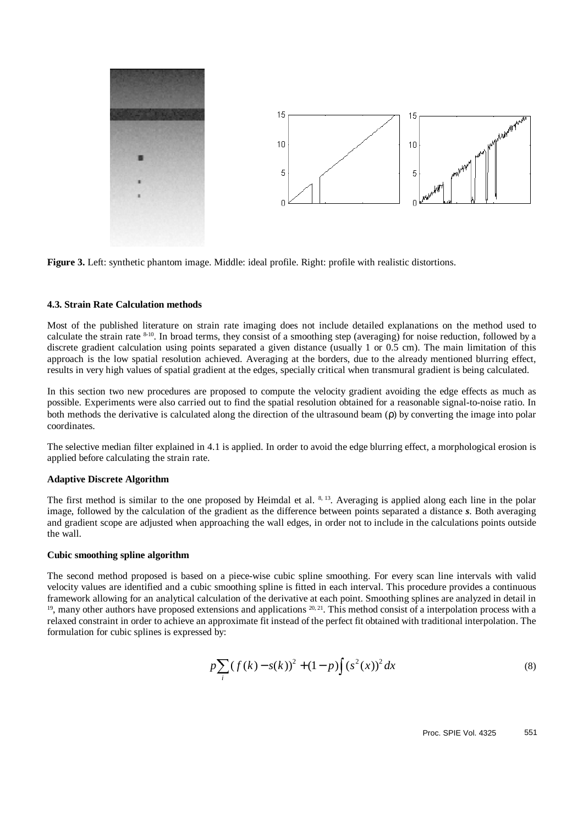

**Figure 3.** Left: synthetic phantom image. Middle: ideal profile. Right: profile with realistic distortions.

#### **4.3. Strain Rate Calculation methods**

Most of the published literature on strain rate imaging does not include detailed explanations on the method used to calculate the strain rate 8-10. In broad terms, they consist of a smoothing step (averaging) for noise reduction, followed by a discrete gradient calculation using points separated a given distance (usually 1 or 0.5 cm). The main limitation of this approach is the low spatial resolution achieved. Averaging at the borders, due to the already mentioned blurring effect, results in very high values of spatial gradient at the edges, specially critical when transmural gradient is being calculated.

In this section two new procedures are proposed to compute the velocity gradient avoiding the edge effects as much as possible. Experiments were also carried out to find the spatial resolution obtained for a reasonable signal-to-noise ratio. In both methods the derivative is calculated along the direction of the ultrasound beam (ρ) by converting the image into polar coordinates.

The selective median filter explained in 4.1 is applied. In order to avoid the edge blurring effect, a morphological erosion is applied before calculating the strain rate.

#### **Adaptive Discrete Algorithm**

The first method is similar to the one proposed by Heimdal et al.  $8,13$ . Averaging is applied along each line in the polar image, followed by the calculation of the gradient as the difference between points separated a distance *s*. Both averaging and gradient scope are adjusted when approaching the wall edges, in order not to include in the calculations points outside the wall.

## **Cubic smoothing spline algorithm**

The second method proposed is based on a piece-wise cubic spline smoothing. For every scan line intervals with valid velocity values are identified and a cubic smoothing spline is fitted in each interval. This procedure provides a continuous framework allowing for an analytical calculation of the derivative at each point. Smoothing splines are analyzed in detail in <sup>19</sup>, many other authors have proposed extensions and applications <sup>20, 21</sup>. This method consist of a interpolation process with a relaxed constraint in order to achieve an approximate fit instead of the perfect fit obtained with traditional interpolation. The formulation for cubic splines is expressed by:

$$
p\sum_{i}(f(k)-s(k))^{2}+(1-p)\int (s^{2}(x))^{2}dx
$$
\n(8)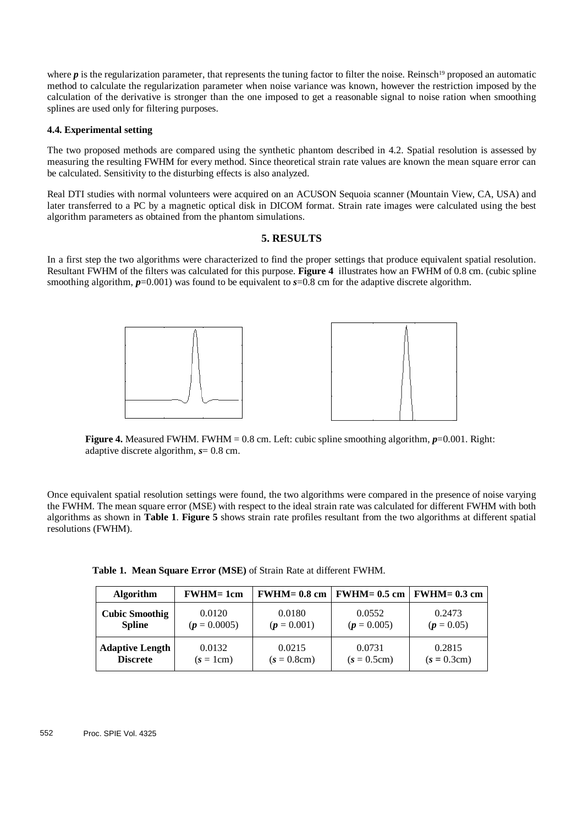where **p** is the regularization parameter, that represents the tuning factor to filter the noise. Reinsch<sup>19</sup> proposed an automatic method to calculate the regularization parameter when noise variance was known, however the restriction imposed by the calculation of the derivative is stronger than the one imposed to get a reasonable signal to noise ration when smoothing splines are used only for filtering purposes.

## **4.4. Experimental setting**

The two proposed methods are compared using the synthetic phantom described in 4.2. Spatial resolution is assessed by measuring the resulting FWHM for every method. Since theoretical strain rate values are known the mean square error can be calculated. Sensitivity to the disturbing effects is also analyzed.

Real DTI studies with normal volunteers were acquired on an ACUSON Sequoia scanner (Mountain View, CA, USA) and later transferred to a PC by a magnetic optical disk in DICOM format. Strain rate images were calculated using the best algorithm parameters as obtained from the phantom simulations.

## **5. RESULTS**

In a first step the two algorithms were characterized to find the proper settings that produce equivalent spatial resolution. Resultant FWHM of the filters was calculated for this purpose. **Figure 4** illustrates how an FWHM of 0.8 cm. (cubic spline smoothing algorithm,  $p=0.001$ ) was found to be equivalent to  $s=0.8$  cm for the adaptive discrete algorithm.



**Figure 4.** Measured FWHM. FWHM =  $0.8$  cm. Left: cubic spline smoothing algorithm,  $p=0.001$ . Right: adaptive discrete algorithm, *s*= 0.8 cm.

Once equivalent spatial resolution settings were found, the two algorithms were compared in the presence of noise varying the FWHM. The mean square error (MSE) with respect to the ideal strain rate was calculated for different FWHM with both algorithms as shown in **Table 1**. **Figure 5** shows strain rate profiles resultant from the two algorithms at different spatial resolutions (FWHM).

| <b>Algorithm</b>       | $FWHM = 1cm$   |               | $FWHM = 0.8$ cm   $FWHM = 0.5$ cm   $FWHM = 0.3$ cm |               |  |
|------------------------|----------------|---------------|-----------------------------------------------------|---------------|--|
| <b>Cubic Smoothig</b>  | 0.0120         | 0.0180        | 0.0552                                              | 0.2473        |  |
| <b>Spline</b>          | $(p = 0.0005)$ | $(p = 0.001)$ | $(p = 0.005)$                                       | $(p = 0.05)$  |  |
| <b>Adaptive Length</b> | 0.0132         | 0.0215        | 0.0731                                              | 0.2815        |  |
| <b>Discrete</b>        | $(s = 1cm)$    | $(s = 0.8cm)$ | $(s = 0.5cm)$                                       | $(s = 0.3cm)$ |  |

|  | Table 1. Mean Square Error (MSE) of Strain Rate at different FWHM. |  |  |  |
|--|--------------------------------------------------------------------|--|--|--|
|  |                                                                    |  |  |  |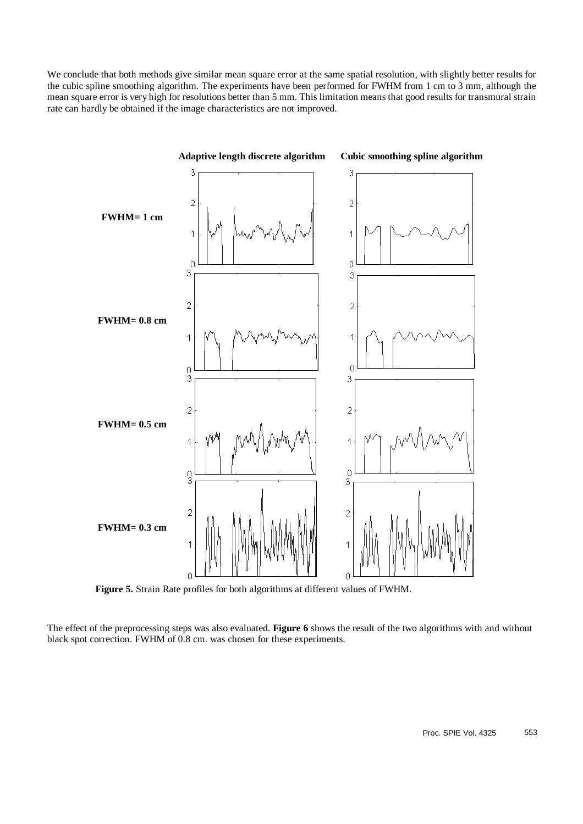We conclude that both methods give similar mean square error at the same spatial resolution, with slightly better results for the cubic spline smoothing algorithm. The experiments have been performed for FWHM from 1 cm to 3 mm, although the mean square error is very high for resolutions better than 5 mm. This limitation means that good results for transmural strain rate can hardly be obtained if the image characteristics are not improved.



**Figure 5.** Strain Rate profiles for both algorithms at different values of FWHM.

The effect of the preprocessing steps was also evaluated. **Figure 6** shows the result of the two algorithms with and without black spot correction. FWHM of 0.8 cm. was chosen for these experiments.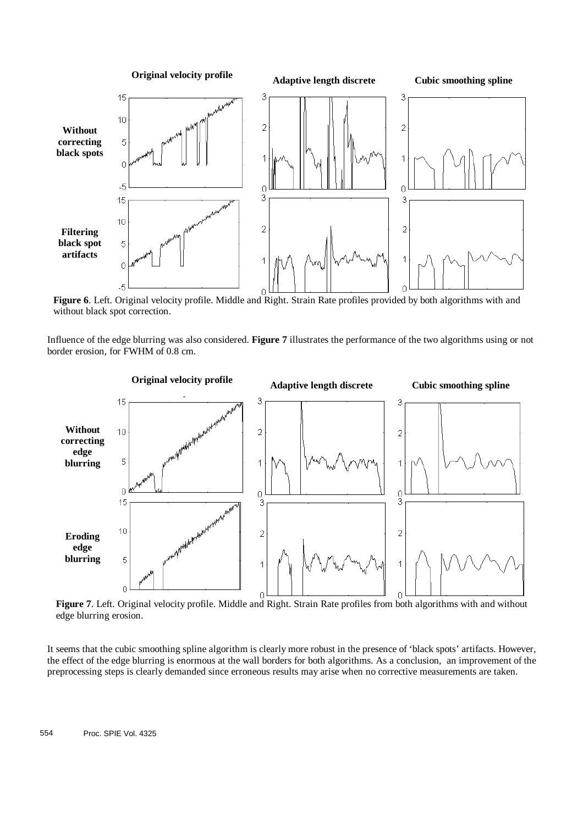

**Figure 6**. Left. Original velocity profile. Middle and Right. Strain Rate profiles provided by both algorithms with and without black spot correction.

Influence of the edge blurring was also considered. **Figure 7** illustrates the performance of the two algorithms using or not border erosion, for FWHM of 0.8 cm.



**Figure 7**. Left. Original velocity profile. Middle and Right. Strain Rate profiles from both algorithms with and without edge blurring erosion.

It seems that the cubic smoothing spline algorithm is clearly more robust in the presence of 'black spots' artifacts. However, the effect of the edge blurring is enormous at the wall borders for both algorithms. As a conclusion, an improvement of the preprocessing steps is clearly demanded since erroneous results may arise when no corrective measurements are taken.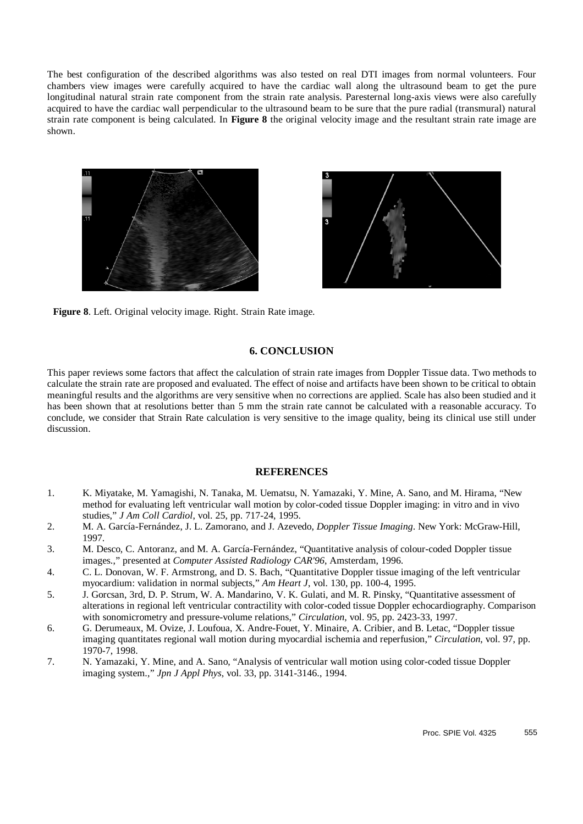The best configuration of the described algorithms was also tested on real DTI images from normal volunteers. Four chambers view images were carefully acquired to have the cardiac wall along the ultrasound beam to get the pure longitudinal natural strain rate component from the strain rate analysis. Paresternal long-axis views were also carefully acquired to have the cardiac wall perpendicular to the ultrasound beam to be sure that the pure radial (transmural) natural strain rate component is being calculated. In **Figure 8** the original velocity image and the resultant strain rate image are shown.





**Figure 8**. Left. Original velocity image. Right. Strain Rate image.

## **6. CONCLUSION**

This paper reviews some factors that affect the calculation of strain rate images from Doppler Tissue data. Two methods to calculate the strain rate are proposed and evaluated. The effect of noise and artifacts have been shown to be critical to obtain meaningful results and the algorithms are very sensitive when no corrections are applied. Scale has also been studied and it has been shown that at resolutions better than 5 mm the strain rate cannot be calculated with a reasonable accuracy. To conclude, we consider that Strain Rate calculation is very sensitive to the image quality, being its clinical use still under discussion.

## **REFERENCES**

- 1. K. Miyatake, M. Yamagishi, N. Tanaka, M. Uematsu, N. Yamazaki, Y. Mine, A. Sano, and M. Hirama, "New method for evaluating left ventricular wall motion by color-coded tissue Doppler imaging: in vitro and in vivo studies," *J Am Coll Cardiol*, vol. 25, pp. 717-24, 1995.
- 2. M. A. García-Fernández, J. L. Zamorano, and J. Azevedo, *Doppler Tissue Imaging*. New York: McGraw-Hill, 1997.
- 3. M. Desco, C. Antoranz, and M. A. García-Fernández, "Quantitative analysis of colour-coded Doppler tissue images.," presented at *Computer Assisted Radiology CAR'96*, Amsterdam, 1996.
- 4. C. L. Donovan, W. F. Armstrong, and D. S. Bach, "Quantitative Doppler tissue imaging of the left ventricular myocardium: validation in normal subjects," *Am Heart J*, vol. 130, pp. 100-4, 1995.
- 5. J. Gorcsan, 3rd, D. P. Strum, W. A. Mandarino, V. K. Gulati, and M. R. Pinsky, "Quantitative assessment of alterations in regional left ventricular contractility with color-coded tissue Doppler echocardiography. Comparison with sonomicrometry and pressure-volume relations," *Circulation*, vol. 95, pp. 2423-33, 1997.
- 6. G. Derumeaux, M. Ovize, J. Loufoua, X. Andre-Fouet, Y. Minaire, A. Cribier, and B. Letac, "Doppler tissue imaging quantitates regional wall motion during myocardial ischemia and reperfusion," *Circulation*, vol. 97, pp. 1970-7, 1998.
- 7. N. Yamazaki, Y. Mine, and A. Sano, "Analysis of ventricular wall motion using color-coded tissue Doppler imaging system.," *Jpn J Appl Phys*, vol. 33, pp. 3141-3146., 1994.